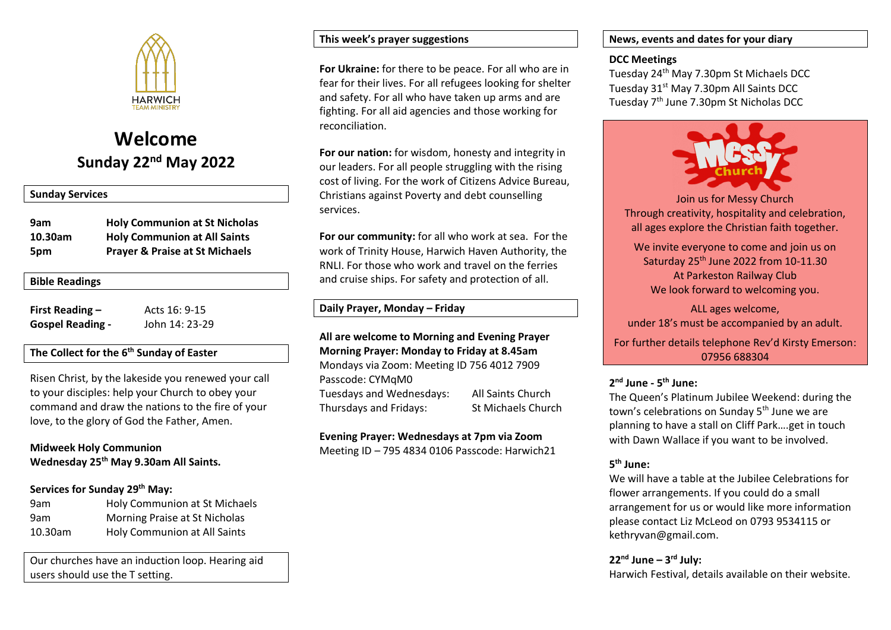

# **Welcome Sunday 22nd May 2022**

## **Sunday Services**

| 9am     | <b>Holy Communion at St Nicholas</b>      |
|---------|-------------------------------------------|
| 10.30am | <b>Holy Communion at All Saints</b>       |
| 5pm     | <b>Prayer &amp; Praise at St Michaels</b> |

## **Bible Readings**

| <b>First Reading -</b>  | Acts 16: 9-15  |
|-------------------------|----------------|
| <b>Gospel Reading -</b> | John 14: 23-29 |

# **The Collect for the 6 th Sunday of Easter**

Risen Christ, by the lakeside you renewed your call to your disciples: help your Church to obey your command and draw the nations to the fire of your love, to the glory of God the Father, Amen.

# **Midweek Holy Communion Wednesday 25th May 9.30am All Saints.**

# **Services for Sunday 29 th May:**

| 9am        | Holy Communion at St Michaels |
|------------|-------------------------------|
| 9am        | Morning Praise at St Nicholas |
| $10.30$ am | Holy Communion at All Saints  |

Our churches have an induction loop. Hearing aid users should use the T setting.

# **This week's prayer suggestions**

**For Ukraine:** for there to be peace. For all who are in fear for their lives. For all refugees looking for shelter and safety. For all who have taken up arms and are fighting. For all aid agencies and those working for reconciliation.

**For our nation:** for wisdom, honesty and integrity in our leaders. For all people struggling with the rising cost of living. For the work of Citizens Advice Bureau, Christians against Poverty and debt counselling services.

**For our community:** for all who work at sea. For the work of Trinity House, Harwich Haven Authority, the RNLI. For those who work and travel on the ferries and cruise ships. For safety and protection of all.

## **Daily Prayer, Monday – Friday**

# **All are welcome to Morning and Evening Prayer Morning Prayer: Monday to Friday at 8.45am**

Mondays via Zoom: Meeting ID 756 4012 7909 Passcode: CYMqM0 Tuesdays and Wednesdays: All Saints Church Thursdays and Fridays: St Michaels Church

#### **Evening Prayer: Wednesdays at 7pm via Zoom**

Meeting ID – 795 4834 0106 Passcode: Harwich21

## **News, events and dates for your diary**

### **DCC Meetings**

Tuesday 24th May 7.30pm St Michaels DCC Tuesday 31<sup>st</sup> May 7.30pm All Saints DCC Tuesday 7<sup>th</sup> June 7.30pm St Nicholas DCC



Join us for Messy Church Through creativity, hospitality and celebration, all ages explore the Christian faith together.

We invite everyone to come and join us on Saturday 25th June 2022 from 10-11.30 At Parkeston Railway Club We look forward to welcoming you.

ALL ages welcome, under 18's must be accompanied by an adult.

For further details telephone Rev'd Kirsty Emerson: 07956 688304

# **2 nd June - 5 th June:**

The Queen's Platinum Jubilee Weekend: during the town's celebrations on Sunday 5<sup>th</sup> June we are planning to have a stall on Cliff Park….get in touch with Dawn Wallace if you want to be involved.

# **5 th June:**

We will have a table at the Jubilee Celebrations for flower arrangements. If you could do a small arrangement for us or would like more information please contact Liz McLeod on 0793 9534115 or kethryvan@gmail.com.

# **22nd June – 3 rd July:**

Harwich Festival, details available on their website.